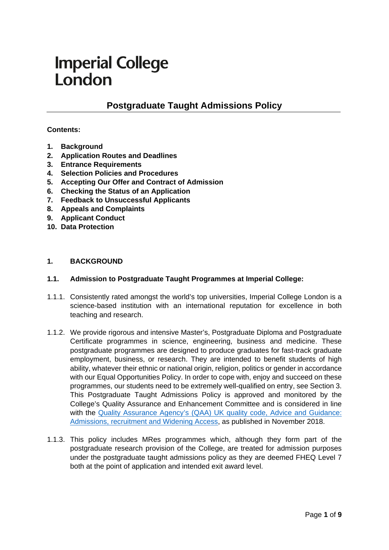# **Imperial College** London

# **Postgraduate Taught Admissions Policy**

#### **Contents:**

- **1. [Background](#page-0-0)**
- **2. [Application Routes and Deadlines](#page-1-0)**
- **3. [Entrance Requirements](#page-2-0)**
- **4. [Selection Policies and](#page-4-0) Procedures**
- **5. [Accepting Our Offer and Contract of Admission](#page-6-0)**
- **6. [Checking the Status of an Application](#page-6-1)**
- **7. [Feedback to Unsuccessful Applicants](#page-6-2)**
- **8. [Appeals and](#page-7-0) Complaints**
- **9. Applicant Conduct**
- **10. Data Protection**

#### <span id="page-0-0"></span>**1. BACKGROUND**

#### **1.1. Admission to Postgraduate Taught Programmes at Imperial College:**

- 1.1.1. Consistently rated amongst the world's top universities, Imperial College London is a science-based institution with an international reputation for excellence in both teaching and research.
- 1.1.2. We provide rigorous and intensive Master's, Postgraduate Diploma and Postgraduate Certificate programmes in science, engineering, business and medicine. These postgraduate programmes are designed to produce graduates for fast-track graduate employment, business, or research. They are intended to benefit students of high ability, whatever their ethnic or national origin, religion, politics or gender in accordance with our Equal Opportunities Policy. In order to cope with, enjoy and succeed on these programmes, our students need to be extremely well-qualified on entry, see Section 3. This Postgraduate Taught Admissions Policy is approved and monitored by the College's Quality Assurance and Enhancement Committee and is considered in line with the [Quality Assurance Agency's \(QAA\) UK quality code, Advice and Guidance:](https://www.qaa.ac.uk/quality-code/advice-and-guidance/admissions-recruitment-and-widening-access)  [Admissions, recruitment and Widening Access,](https://www.qaa.ac.uk/quality-code/advice-and-guidance/admissions-recruitment-and-widening-access) as published in November 2018.
- 1.1.3. This policy includes MRes programmes which, although they form part of the postgraduate research provision of the College, are treated for admission purposes under the postgraduate taught admissions policy as they are deemed FHEQ Level 7 both at the point of application and intended exit award level.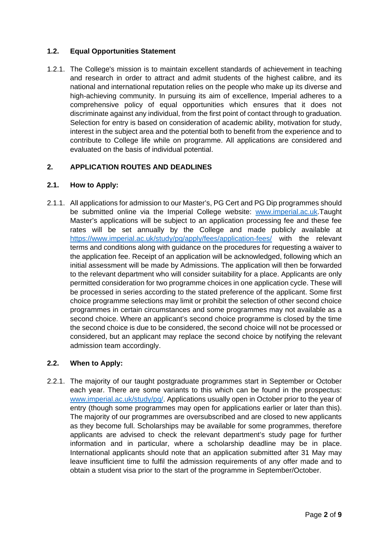# **1.2. Equal Opportunities Statement**

1.2.1. The College's mission is to maintain excellent standards of achievement in teaching and research in order to attract and admit students of the highest calibre, and its national and international reputation relies on the people who make up its diverse and high-achieving community. In pursuing its aim of excellence, Imperial adheres to a comprehensive policy of equal opportunities which ensures that it does not discriminate against any individual, from the first point of contact through to graduation. Selection for entry is based on consideration of academic ability, motivation for study, interest in the subject area and the potential both to benefit from the experience and to contribute to College life while on programme. All applications are considered and evaluated on the basis of individual potential.

# <span id="page-1-0"></span>**2. APPLICATION ROUTES AND DEADLINES**

# **2.1. How to Apply:**

2.1.1. All applications for admission to our Master's, PG Cert and PG Dip programmes should be submitted online via the Imperial College website: [www.imperial.ac.uk.](http://www.imperial.ac.uk/)Taught Master's applications will be subject to an application processing fee and these fee rates will be set annually by the College and made publicly available at <https://www.imperial.ac.uk/study/pg/apply/fees/application-fees/> with the relevant terms and conditions along with guidance on the procedures for requesting a waiver to the application fee. Receipt of an application will be acknowledged, following which an initial assessment will be made by Admissions. The application will then be forwarded to the relevant department who will consider suitability for a place. Applicants are only permitted consideration for two programme choices in one application cycle. These will be processed in series according to the stated preference of the applicant. Some first choice programme selections may limit or prohibit the selection of other second choice programmes in certain circumstances and some programmes may not available as a second choice. Where an applicant's second choice programme is closed by the time the second choice is due to be considered, the second choice will not be processed or considered, but an applicant may replace the second choice by notifying the relevant admission team accordingly.

# **2.2. When to Apply:**

2.2.1. The majority of our taught postgraduate programmes start in September or October each year. There are some variants to this which can be found in the prospectus: [www.imperial.ac.uk/study/pg/.](http://www.imperial.ac.uk/study/pg/) Applications usually open in October prior to the year of entry (though some programmes may open for applications earlier or later than this). The majority of our programmes are oversubscribed and are closed to new applicants as they become full. Scholarships may be available for some programmes, therefore applicants are advised to check the relevant department's study page for further information and in particular, where a scholarship deadline may be in place. International applicants should note that an application submitted after 31 May may leave insufficient time to fulfil the admission requirements of any offer made and to obtain a student visa prior to the start of the programme in September/October.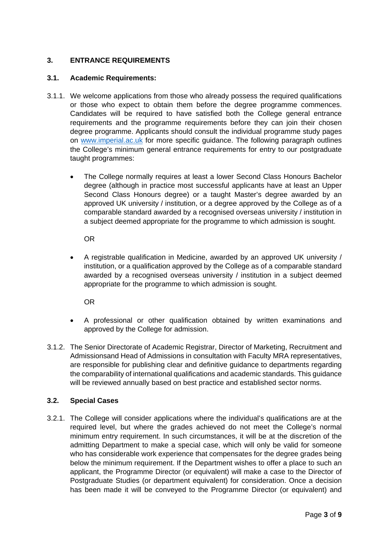# <span id="page-2-0"></span>**3. ENTRANCE REQUIREMENTS**

#### **3.1. Academic Requirements:**

- 3.1.1. We welcome applications from those who already possess the required qualifications or those who expect to obtain them before the degree programme commences. Candidates will be required to have satisfied both the College general entrance requirements and the programme requirements before they can join their chosen degree programme. Applicants should consult the individual programme study pages on [www.imperial.ac.uk](http://www.imperial.ac.uk/) for more specific guidance. The following paragraph outlines the College's minimum general entrance requirements for entry to our postgraduate taught programmes:
	- The College normally requires at least a lower Second Class Honours Bachelor degree (although in practice most successful applicants have at least an Upper Second Class Honours degree) or a taught Master's degree awarded by an approved UK university / institution, or a degree approved by the College as of a comparable standard awarded by a recognised overseas university / institution in a subject deemed appropriate for the programme to which admission is sought.

OR

• A registrable qualification in Medicine, awarded by an approved UK university / institution, or a qualification approved by the College as of a comparable standard awarded by a recognised overseas university / institution in a subject deemed appropriate for the programme to which admission is sought.

OR

- A professional or other qualification obtained by written examinations and approved by the College for admission.
- 3.1.2. The Senior Directorate of Academic Registrar, Director of Marketing, Recruitment and Admissionsand Head of Admissions in consultation with Faculty MRA representatives, are responsible for publishing clear and definitive guidance to departments regarding the comparability of international qualifications and academic standards. This guidance will be reviewed annually based on best practice and established sector norms.

#### **3.2. Special Cases**

3.2.1. The College will consider applications where the individual's qualifications are at the required level, but where the grades achieved do not meet the College's normal minimum entry requirement. In such circumstances, it will be at the discretion of the admitting Department to make a special case, which will only be valid for someone who has considerable work experience that compensates for the degree grades being below the minimum requirement. If the Department wishes to offer a place to such an applicant, the Programme Director (or equivalent) will make a case to the Director of Postgraduate Studies (or department equivalent) for consideration. Once a decision has been made it will be conveyed to the Programme Director (or equivalent) and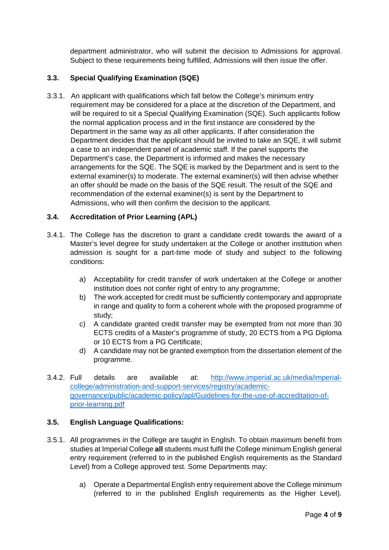department administrator, who will submit the decision to Admissions for approval. Subject to these requirements being fulfilled, Admissions will then issue the offer.

# **3.3. Special Qualifying Examination (SQE)**

3.3.1. An applicant with qualifications which fall below the College's minimum entry requirement may be considered for a place at the discretion of the Department, and will be required to sit a Special Qualifying Examination (SQE). Such applicants follow the normal application process and in the first instance are considered by the Department in the same way as all other applicants. If after consideration the Department decides that the applicant should be invited to take an SQE, it will submit a case to an independent panel of academic staff. If the panel supports the Department's case, the Department is informed and makes the necessary arrangements for the SQE. The SQE is marked by the Department and is sent to the external examiner(s) to moderate. The external examiner(s) will then advise whether an offer should be made on the basis of the SQE result. The result of the SQE and recommendation of the external examiner(s) is sent by the Department to Admissions, who will then confirm the decision to the applicant.

#### **3.4. Accreditation of Prior Learning (APL)**

- 3.4.1. The College has the discretion to grant a candidate credit towards the award of a Master's level degree for study undertaken at the College or another institution when admission is sought for a part-time mode of study and subject to the following conditions:
	- a) Acceptability for credit transfer of work undertaken at the College or another institution does not confer right of entry to any programme;
	- b) The work accepted for credit must be sufficiently contemporary and appropriate in range and quality to form a coherent whole with the proposed programme of study;
	- c) A candidate granted credit transfer may be exempted from not more than 30 ECTS credits of a Master's programme of study, 20 ECTS from a PG Diploma or 10 ECTS from a PG Certificate;
	- d) A candidate may not be granted exemption from the dissertation element of the programme.
- 3.4.2. Full details are available at: [http://www.imperial.ac.uk/media/imperial](http://www.imperial.ac.uk/media/imperial-college/administration-and-support-services/registry/academic-governance/public/academic-policy/apl/Guidelines-for-the-use-of-accreditation-of-prior-learning.pdf)[college/administration-and-support-services/registry/academic](http://www.imperial.ac.uk/media/imperial-college/administration-and-support-services/registry/academic-governance/public/academic-policy/apl/Guidelines-for-the-use-of-accreditation-of-prior-learning.pdf)[governance/public/academic-policy/apl/Guidelines-for-the-use-of-accreditation-of](http://www.imperial.ac.uk/media/imperial-college/administration-and-support-services/registry/academic-governance/public/academic-policy/apl/Guidelines-for-the-use-of-accreditation-of-prior-learning.pdf)[prior-learning.pdf](http://www.imperial.ac.uk/media/imperial-college/administration-and-support-services/registry/academic-governance/public/academic-policy/apl/Guidelines-for-the-use-of-accreditation-of-prior-learning.pdf)

#### **3.5. English Language Qualifications:**

- 3.5.1. All programmes in the College are taught in English. To obtain maximum benefit from studies at Imperial College **all** students must fulfil the College minimum English general entry requirement (referred to in the published English requirements as the Standard Level) from a College approved test. Some Departments may:
	- a) Operate a Departmental English entry requirement above the College minimum (referred to in the published English requirements as the Higher Level).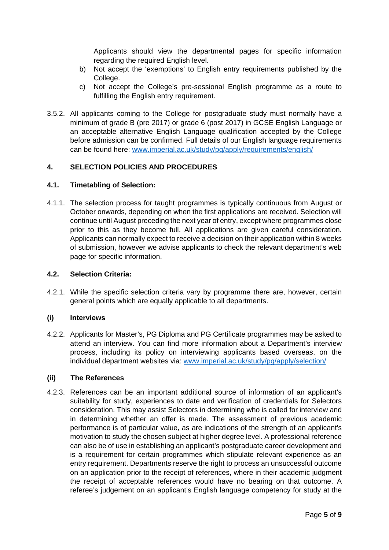Applicants should view the departmental pages for specific information regarding the required English level.

- b) Not accept the 'exemptions' to English entry requirements published by the College.
- c) Not accept the College's pre-sessional English programme as a route to fulfilling the English entry requirement.
- 3.5.2. All applicants coming to the College for postgraduate study must normally have a minimum of grade B (pre 2017) or grade 6 (post 2017) in GCSE English Language or an acceptable alternative English Language qualification accepted by the College before admission can be confirmed. Full details of our English language requirements can be found here: [www.imperial.ac.uk/study/pg/apply/requirements/english/](http://www.imperial.ac.uk/study/pg/apply/requirements/english/)

#### <span id="page-4-0"></span>**4. SELECTION POLICIES AND PROCEDURES**

#### **4.1. Timetabling of Selection:**

4.1.1. The selection process for taught programmes is typically continuous from August or October onwards, depending on when the first applications are received. Selection will continue until August preceding the next year of entry, except where programmes close prior to this as they become full. All applications are given careful consideration. Applicants can normally expect to receive a decision on their application within 8 weeks of submission, however we advise applicants to check the relevant department's web page for specific information.

#### **4.2. Selection Criteria:**

4.2.1. While the specific selection criteria vary by programme there are, however, certain general points which are equally applicable to all departments.

#### **(i) Interviews**

4.2.2. Applicants for Master's, PG Diploma and PG Certificate programmes may be asked to attend an interview. You can find more information about a Department's interview process, including its policy on interviewing applicants based overseas, on the individual department websites via: [www.imperial.ac.uk/study/pg/apply/selection/](http://www.imperial.ac.uk/study/pg/apply/selection/)

#### **(ii) The References**

4.2.3. References can be an important additional source of information of an applicant's suitability for study, experiences to date and verification of credentials for Selectors consideration. This may assist Selectors in determining who is called for interview and in determining whether an offer is made. The assessment of previous academic performance is of particular value, as are indications of the strength of an applicant's motivation to study the chosen subject at higher degree level. A professional reference can also be of use in establishing an applicant's postgraduate career development and is a requirement for certain programmes which stipulate relevant experience as an entry requirement. Departments reserve the right to process an unsuccessful outcome on an application prior to the receipt of references, where in their academic judgment the receipt of acceptable references would have no bearing on that outcome. A referee's judgement on an applicant's English language competency for study at the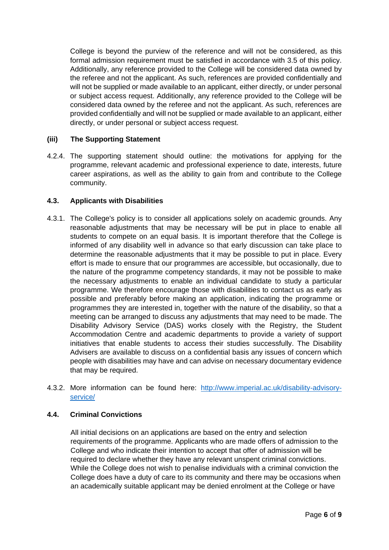College is beyond the purview of the reference and will not be considered, as this formal admission requirement must be satisfied in accordance with 3.5 of this policy. Additionally, any reference provided to the College will be considered data owned by the referee and not the applicant. As such, references are provided confidentially and will not be supplied or made available to an applicant, either directly, or under personal or subject access request. Additionally, any reference provided to the College will be considered data owned by the referee and not the applicant. As such, references are provided confidentially and will not be supplied or made available to an applicant, either directly, or under personal or subject access request.

#### **(iii) The Supporting Statement**

4.2.4. The supporting statement should outline: the motivations for applying for the programme, relevant academic and professional experience to date, interests, future career aspirations, as well as the ability to gain from and contribute to the College community.

# **4.3. Applicants with Disabilities**

- 4.3.1. The College's policy is to consider all applications solely on academic grounds. Any reasonable adjustments that may be necessary will be put in place to enable all students to compete on an equal basis. It is important therefore that the College is informed of any disability well in advance so that early discussion can take place to determine the reasonable adjustments that it may be possible to put in place. Every effort is made to ensure that our programmes are accessible, but occasionally, due to the nature of the programme competency standards, it may not be possible to make the necessary adjustments to enable an individual candidate to study a particular programme. We therefore encourage those with disabilities to contact us as early as possible and preferably before making an application, indicating the programme or programmes they are interested in, together with the nature of the disability, so that a meeting can be arranged to discuss any adjustments that may need to be made. The Disability Advisory Service (DAS) works closely with the Registry, the Student Accommodation Centre and academic departments to provide a variety of support initiatives that enable students to access their studies successfully. The Disability Advisers are available to discuss on a confidential basis any issues of concern which people with disabilities may have and can advise on necessary documentary evidence that may be required.
- 4.3.2. More information can be found here: [http://www.imperial.ac.uk/disability-advisory](http://www.imperial.ac.uk/disability-advisory-service/)[service/](http://www.imperial.ac.uk/disability-advisory-service/)

#### **4.4. Criminal Convictions**

All initial decisions on an applications are based on the entry and selection requirements of the programme. Applicants who are made offers of admission to the College and who indicate their intention to accept that offer of admission will be required to declare whether they have any relevant unspent criminal convictions. While the College does not wish to penalise individuals with a criminal conviction the College does have a duty of care to its community and there may be occasions when an academically suitable applicant may be denied enrolment at the College or have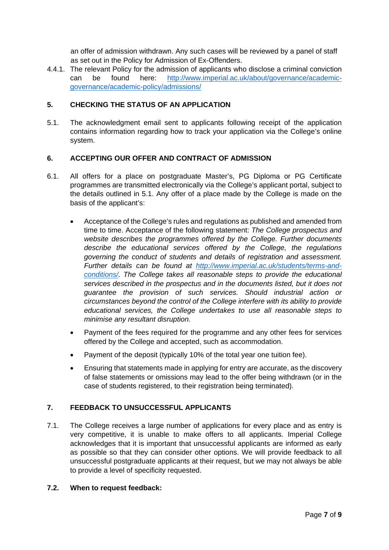an offer of admission withdrawn. Any such cases will be reviewed by a panel of staff as set out in the Policy for Admission of Ex-Offenders.

4.4.1. The relevant Policy for the admission of applicants who disclose a criminal conviction can be found here: [http://www.imperial.ac.uk/about/governance/academic](http://www.imperial.ac.uk/about/governance/academic-governance/academic-policy/admissions/)[governance/academic-policy/admissions/](http://www.imperial.ac.uk/about/governance/academic-governance/academic-policy/admissions/)

# <span id="page-6-1"></span>**5. CHECKING THE STATUS OF AN APPLICATION**

<span id="page-6-3"></span>5.1. The acknowledgment email sent to applicants following receipt of the application contains information regarding how to track your application via the College's online system.

# <span id="page-6-0"></span>**6. ACCEPTING OUR OFFER AND CONTRACT OF ADMISSION**

- 6.1. All offers for a place on postgraduate Master's, PG Diploma or PG Certificate programmes are transmitted electronically via the College's applicant portal, subject to the details outlined in [5.1.](#page-6-3) Any offer of a place made by the College is made on the basis of the applicant's:
	- Acceptance of the College's rules and regulations as published and amended from time to time. Acceptance of the following statement: *The College prospectus and website describes the programmes offered by the College. Further documents describe the educational services offered by the College, the regulations governing the conduct of students and details of registration and assessment. Further details can be found at [http://www.imperial.ac.uk/students/terms-and](http://www.imperial.ac.uk/students/terms-and-conditions/)[conditions/.](http://www.imperial.ac.uk/students/terms-and-conditions/) The College takes all reasonable steps to provide the educational services described in the prospectus and in the documents listed, but it does not guarantee the provision of such services. Should industrial action or circumstances beyond the control of the College interfere with its ability to provide educational services, the College undertakes to use all reasonable steps to minimise any resultant disruption.*
	- Payment of the fees required for the programme and any other fees for services offered by the College and accepted, such as accommodation.
	- Payment of the deposit (typically 10% of the total year one tuition fee).
	- Ensuring that statements made in applying for entry are accurate, as the discovery of false statements or omissions may lead to the offer being withdrawn (or in the case of students registered, to their registration being terminated).

# <span id="page-6-2"></span>**7. FEEDBACK TO UNSUCCESSFUL APPLICANTS**

7.1. The College receives a large number of applications for every place and as entry is very competitive, it is unable to make offers to all applicants. Imperial College acknowledges that it is important that unsuccessful applicants are informed as early as possible so that they can consider other options. We will provide feedback to all unsuccessful postgraduate applicants at their request, but we may not always be able to provide a level of specificity requested.

#### **7.2. When to request feedback:**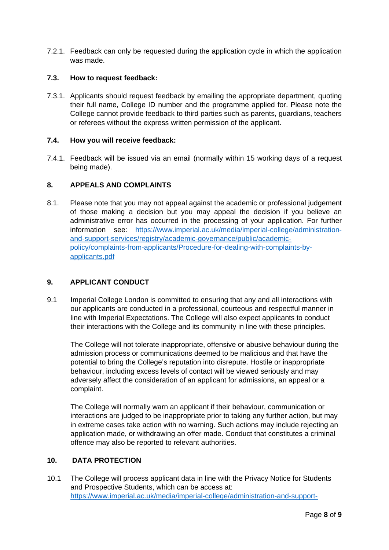7.2.1. Feedback can only be requested during the application cycle in which the application was made.

### **7.3. How to request feedback:**

7.3.1. Applicants should request feedback by emailing the appropriate department, quoting their full name, College ID number and the programme applied for. Please note the College cannot provide feedback to third parties such as parents, guardians, teachers or referees without the express written permission of the applicant.

#### **7.4. How you will receive feedback:**

7.4.1. Feedback will be issued via an email (normally within 15 working days of a request being made).

# <span id="page-7-0"></span>**8. APPEALS AND COMPLAINTS**

8.1. Please note that you may not appeal against the academic or professional judgement of those making a decision but you may appeal the decision if you believe an administrative error has occurred in the processing of your application. For further information see: https://www.imperial.ac.uk/media/imperial-college/administrationand-support-services/registry/academic-governance/public/academicpolicy/complaints-from-applicants/Procedure-for-dealing-with-complaints-byapplicants.pdf

# **9. APPLICANT CONDUCT**

9.1 Imperial College London is committed to ensuring that any and all interactions with our applicants are conducted in a professional, courteous and respectful manner in line with Imperial Expectations. The College will also expect applicants to conduct their interactions with the College and its community in line with these principles.

The College will not tolerate inappropriate, offensive or abusive behaviour during the admission process or communications deemed to be malicious and that have the potential to bring the College's reputation into disrepute. Hostile or inappropriate behaviour, including excess levels of contact will be viewed seriously and may adversely affect the consideration of an applicant for admissions, an appeal or a complaint.

The College will normally warn an applicant if their behaviour, communication or interactions are judged to be inappropriate prior to taking any further action, but may in extreme cases take action with no warning. Such actions may include rejecting an application made, or withdrawing an offer made. Conduct that constitutes a criminal offence may also be reported to relevant authorities.

#### **10. DATA PROTECTION**

10.1 The College will process applicant data in line with the Privacy Notice for Students and Prospective Students, which can be access at: [https://www.imperial.ac.uk/media/imperial-college/administration-and-support-](https://www.imperial.ac.uk/media/imperial-college/administration-and-support-services/registry/academic-governance/public/academic-policy/admissions/Privacy-notice.pdf)